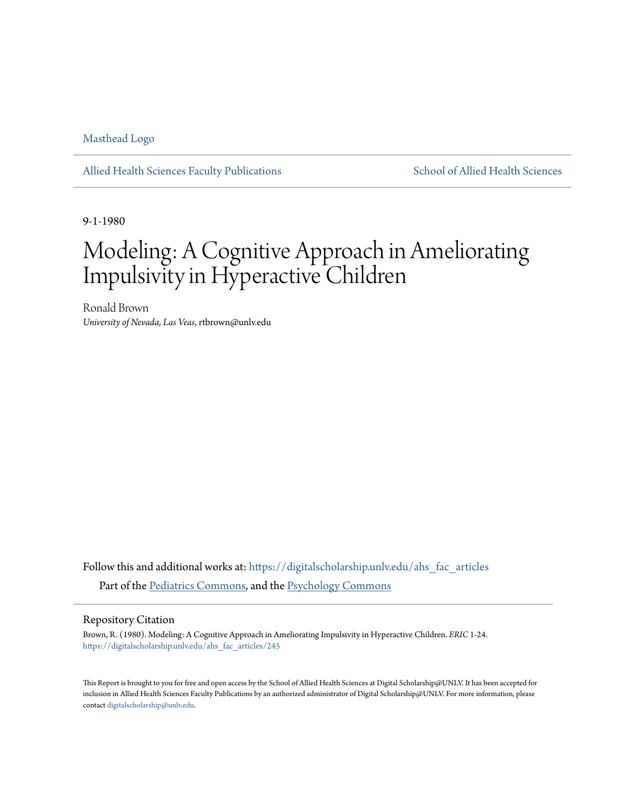[Masthead Logo](http://library.unlv.edu/?utm_source=digitalscholarship.unlv.edu%2Fahs_fac_articles%2F245&utm_medium=PDF&utm_campaign=PDFCoverPages)

[Allied Health Sciences Faculty Publications](https://digitalscholarship.unlv.edu/ahs_fac_articles?utm_source=digitalscholarship.unlv.edu%2Fahs_fac_articles%2F245&utm_medium=PDF&utm_campaign=PDFCoverPages) [School of Allied Health Sciences](https://digitalscholarship.unlv.edu/sahs?utm_source=digitalscholarship.unlv.edu%2Fahs_fac_articles%2F245&utm_medium=PDF&utm_campaign=PDFCoverPages)

9-1-1980

# Modeling: A Cognitive Approach in Ameliorating Impulsivity in Hyperactive Children

Ronald Brown *University of Nevada, Las Veas*, rtbrown@unlv.edu

Follow this and additional works at: [https://digitalscholarship.unlv.edu/ahs\\_fac\\_articles](https://digitalscholarship.unlv.edu/ahs_fac_articles?utm_source=digitalscholarship.unlv.edu%2Fahs_fac_articles%2F245&utm_medium=PDF&utm_campaign=PDFCoverPages) Part of the [Pediatrics Commons,](http://network.bepress.com/hgg/discipline/700?utm_source=digitalscholarship.unlv.edu%2Fahs_fac_articles%2F245&utm_medium=PDF&utm_campaign=PDFCoverPages) and the [Psychology Commons](http://network.bepress.com/hgg/discipline/404?utm_source=digitalscholarship.unlv.edu%2Fahs_fac_articles%2F245&utm_medium=PDF&utm_campaign=PDFCoverPages)

#### Repository Citation

Brown, R. (1980). Modeling: A Cognitive Approach in Ameliorating Impulsivity in Hyperactive Children. *ERIC* 1-24. [https://digitalscholarship.unlv.edu/ahs\\_fac\\_articles/245](https://digitalscholarship.unlv.edu/ahs_fac_articles/245)

This Report is brought to you for free and open access by the School of Allied Health Sciences at Digital Scholarship@UNLV. It has been accepted for inclusion in Allied Health Sciences Faculty Publications by an authorized administrator of Digital Scholarship@UNLV. For more information, please contact [digitalscholarship@unlv.edu.](mailto:digitalscholarship@unlv.edu)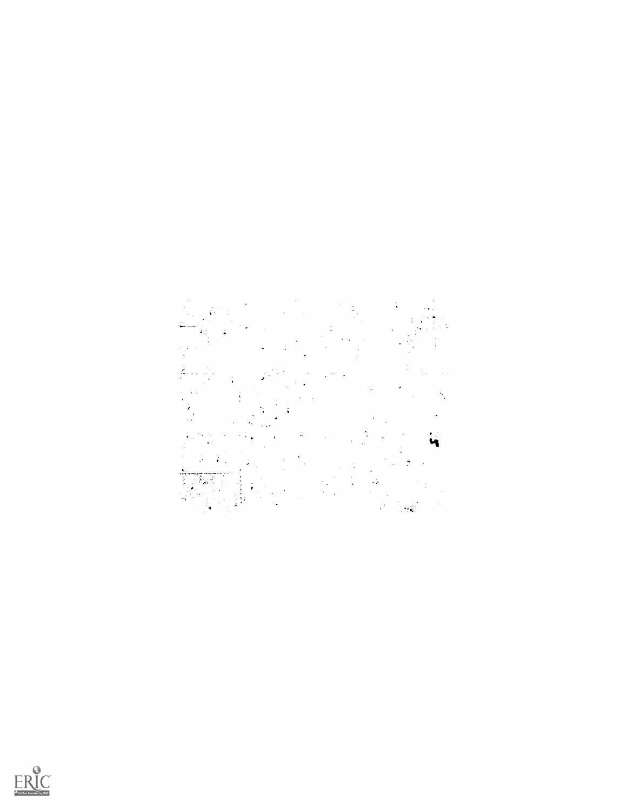

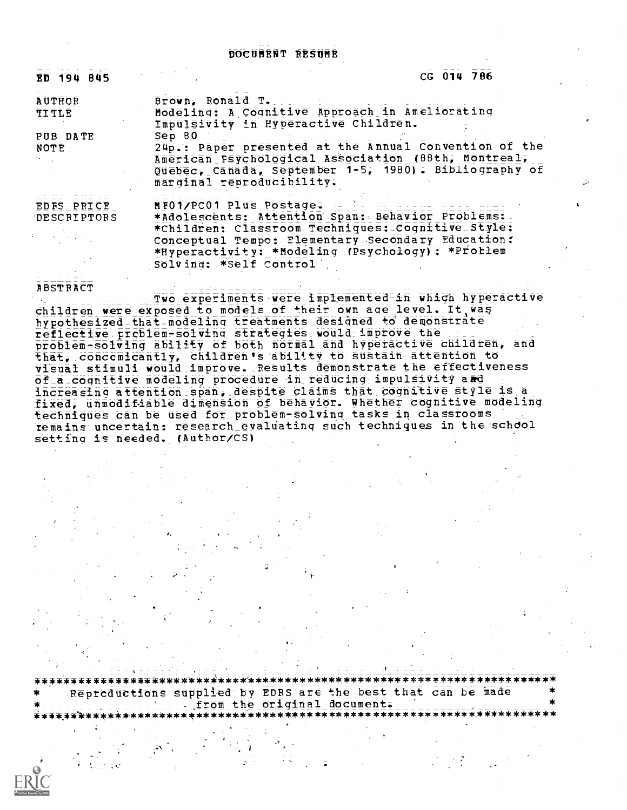DOCUMENT RESUME

| ED 194 B45    | CG 014 786                                            |
|---------------|-------------------------------------------------------|
| <b>AUTHOR</b> | Brown, Ronald T.                                      |
| TITLE         | Modeling: A Cognitive Approach in Ameliorating        |
|               | Impulsivity in Hyperactive Children.                  |
| PUB DATE      | Sep 80                                                |
| NOTE          | 24p.: Paper presented at the Annual Convention of the |
|               | American Psychological Association (88th, Montreal,   |
|               | Quebec, Canada, September 1-5, 1980). Bibliography of |
|               | marginal reproducibility.                             |
| EDFS PRICE    | MF01/PC01 Plus Postage. And Minimage Assessment       |
| DESCRIPTORS   | *Adolescents: Attention Span: Behavior Problems:      |
|               | *Children: Classroom Techniques: Cognitive Style:     |
|               | Conceptual Tempo: Elementary Secondary Education:     |
|               | *Hyperactivity: *Modeling (Psychology): *Problem      |
|               | Solving: *Self Control                                |

#### ABSTRACT

Two experiments were implemented in which hyperactive children were exposed to models of their own age level. It was hypothesized that modeling treatments designed to demonstrate reflective problem-solving strategies would improve the problem-solving ability of both normal and hyperactive children, and that, concemicantly, children's ability to sustain attention to<br>visual stimuli would improve. Results demonstrate the effectiveness of a cognitive modeling procedure in reducing impulsivity and increasing attention span, despite claims that cognitive style is a fixed, unmodifiable dimension of behavior. Whether cognitive modeling techniques can be used for problem-solving tasks in classrooms remains uncertain: research evaluating such techniques in the school setting is needed. (Author/CS)

Reproductions supplied by EDRS are the best that can be made from the original document. \*\*\*\*\*\*\*\*\*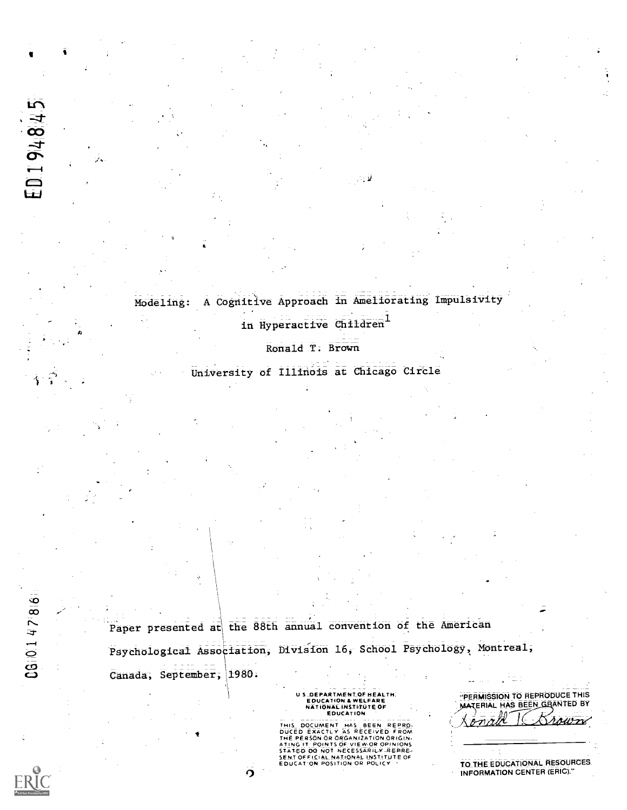# A Cognitive Approach In Ameliorating Impulsivity Modeling: in Hyperactive Children<sup>1</sup>

Ronald T. Brown

University of Illinois at Chicago Circle

08101478161

ED194845

Paper presented at the 88th annual convention of the American Psychological Association, Division 16, School Psychology, Montreal, Canada, September, 1980.

 $\overline{O}$ 

U S\_DEPARTMENT OF HEALTH.<br>EDUCATION & WELFARE<br>NATIONAL INSTITUTE OF<br>EDUCATION

THIS DOCUMENT THAT BEEN REPRO-<br>DUCED EXACTLY AS RECEIVED FROM<br>THE PERSON OR ORGANIZATION ORIGINATION<br>ATING IT POINTS OF VIEW OR OPINIONS<br>SENT OF FISIAL NATIONAL INSTITUTE OF<br>EDUCATION POSITION OR POLICY

TO THE EDUCATIONAL RESOURCES. INFORMATION CENTER (ERIC)."

"PERMISSION TO REPRODUCE THIS MATERIAL HAS BEEN GRANTED BY

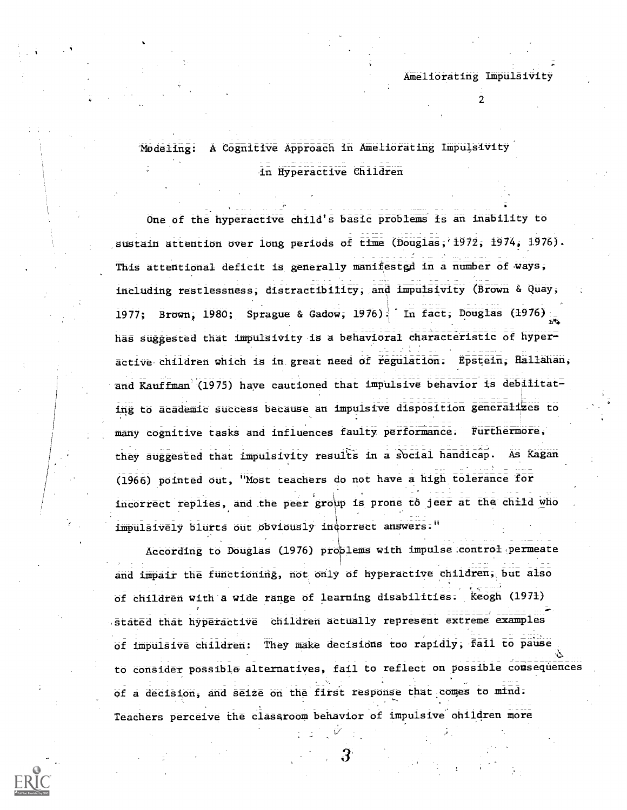2

'Modeling: A Cognitive Approach in Ameliorating Impulsivity In Hyperactive Children

One of the hyperactive child's basic problems is an inability to sustain attention over long periods of time (Douglas;'1972, 1974, 1976). This attentional deficit is generally manifested in a number of ways; including restlessness; distractibility; and Impulsivity (Brown & Quay, 1977; Brown, 1980; Sprague & Gadow, 1976). In fact, Douglas (1976): has suggested that impulsivity is a behavioral characteristic of hyperactive children which is in great need of regulation. Epstein, Hallahan, and Kauffman' (1975) have cautioned that impulsive behavior is debilitating to academic success because an impulsive disposition generaIies to many cognitive tasks and influences faulty performance; Furthermore, they suggested that impulsivity results in a social handicap. As Kagan (1966) pointed out, "Most teachers do not have a high tolerance for incorrect replies, and the peer group is prone to jeer at the child who impulsively blurts out obviously incorrect answers."

According to Douglas (1976) problems with impulse control permeate and impair the functioning, not only of hyperactive children, but also of children with a wide range of learning disabilities. keogh (1971) ,stated that hyperactive children actually represent extreme examples of impulsive children: They make decisions too rapidly; fail to pause to consider possible alternatives, fail to reflect on possible conseqUences of a decision, and seize on the first response that comes to mind. Teachers perceive the classroom behavior of impulsive children more

3

 $V_{\rm{max}}$  and  $V_{\rm{max}}$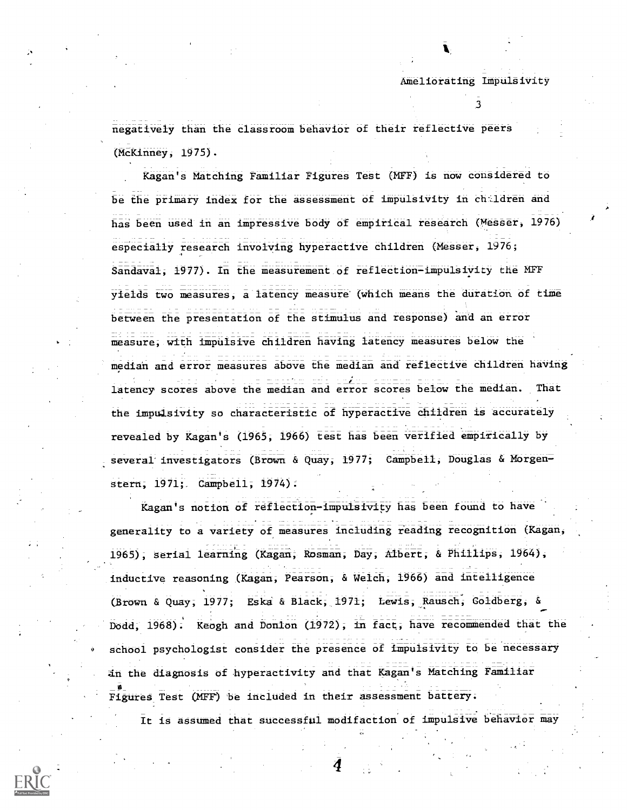3

negatively than the classroom behavior of their reflective peers (McKinney, 1975).

Kagan's Matching Familiar Figures Test (MFF) is now considered to be the primary index for the assessment of impulsivity in chadren and hag been used in an impressive body of empirical research (Messer, 1976) especially research involving hyperactive children (Messer, 1976; Bandana', 1977). In the measurement of reflection-impulsivity the MFF yields two measures, a latency measure (which means the duration of time between the presentation of the stimulus and response) and an error measure, with impulsive children having latency measures below the median and error measures above the median and reflective children having latency scores above the median and error scores below the median. That the impulsivity so characteristic of hyperactive children is accurately revealed by Kagan's (1965; 1966) test has been verified empirically by several' investigators (Brown & Quay; 1977; Campbell, Douglas & Morgenstern; 1971; Campbell, 1974).

Kagan's notion of reflection- impulsivity has been found to have generality to a variety of measures including reading recognition (Kagan, 1965), serial learning (Kagan, Rosman, Day, Albert, & Phillips, 1964), inductive reasoning (Kagan, Pearson, & Welch, 1966) and intelligence (Brown & Quay, 1977; Eska & Black, 1971; Lewis, Rausch, Goldberg, & Dodd, 1968). Keogh and Donion (1972), in fact, have recommended that the school psychologist consider the presence of impulsivity to be necessary Ln the diagnosis of hyperactivity and that Kagan's Matching Familiar Figures Test (MFF) be included in their assessment battery:

It is assumed that successful modifaction of impulsive behavior may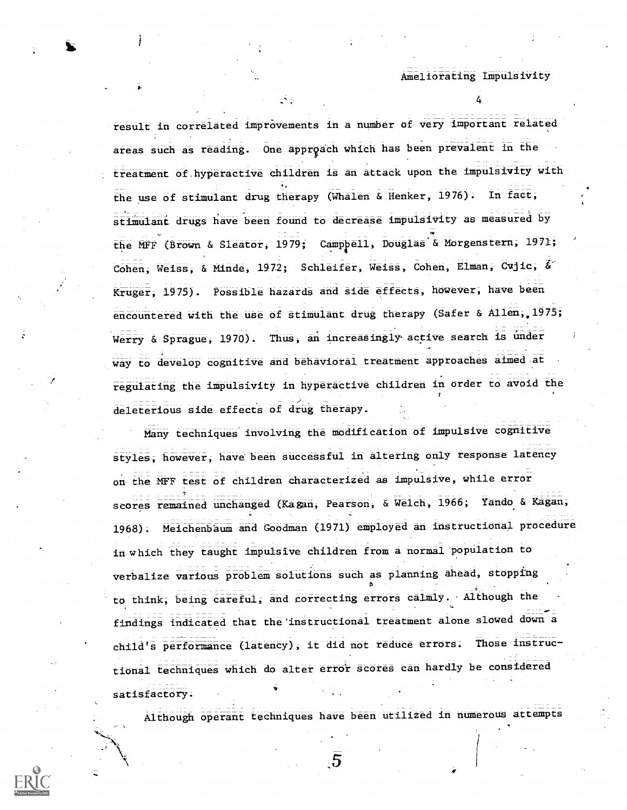4

result in correlated improvements in a number of very important related areas such as reading. One approach which has been prevalent in the treatment of hyperactive children is an attack upon the impulsivity with the use of stimulant drug therapy (Whalen & Henker, 1976). In fact; stimulant drugs have been found to decrease impulsivity as measured by the MFF (Brown & Sleator, 1979; Camppell, Douglas & Morgenstern, 1971; Cohen, Weiss, & Minde, 1972; Schleifer, Weiss, Cohen, Elman, Cujic, & Kruger, 1975). Possible hazards and Side effects, however, have been encountered with the use of stimulant drug therapy (Safer & Allen, 1975; Werry & Sprague, 1970). Thus, an increasingly active search is under way to develop cognitive and behavioral treatment approaches aimed at regulating the impulsivity in hyperactive children in order to avoid the deleterious side effects of drug therapy.

Many techniques involving the modification of impulsive cognitive styles, however, have been successful in altering only response latency on the NFF test of children characterited as impulsive, while error scores remained unchanged (Kagan, Pearson, & Welch, 1966; Yando & Kagan, 1968). Meichenbaum and Goodman (1971) employed an instructional procedure in which they taught impulsive children from a normal population to verbalize various problem solutions such as planning ahead, stopping Berger i Santa Santa Angel, ang kang pangangang pangang santa sa pangang pangang santa pang pangang santa pang to think, being careful, and correcting errors calmly. Although the er i skrivet i skrivet i skrivet i skrivet i skrivet i skrivet i skrivet i skrivet i skrivet i skrivet i skriv<br>De skrivet i skrivet i skrivet i skrivet i skrivet i skrivet i skrivet i skrivet i skrivet i skrivet i skrivet findings indicated that the'instructional treatment alone slowed down a child's performance (latency), it did not reduce errors. Those instructional techniques which do alter error scores can hardly be considered satisfactory.

Although operant techniques have been utilized in numerous attempts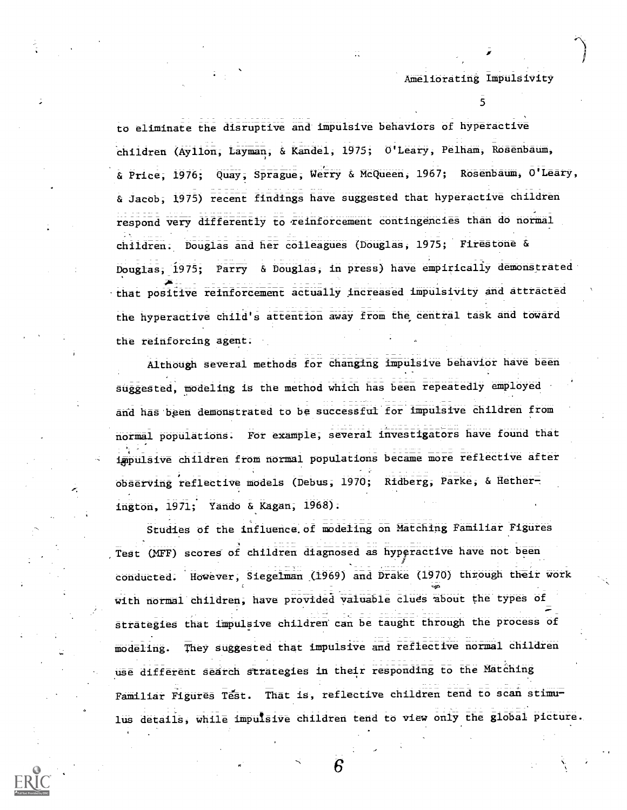5

to eliminate the disruptive and impulsive behaviors of hyperactive children (Ayllon, Layman, & Kandel, 1975; O'Leary, Pelham, Rosenbaum, & Price; 1976; Quay; Sprague; Werry & McQueen; 1967; RosenbaUM; O'Leary, & Jacob, 1975) recent findings have suggested that hyperactive children respond very differently to reinforcement contingencies than do normal children. Douglas and her colleagues (Douglas, 1975; Firestone & Douglas; 1975; Parry & Douglas; in press) have empirically demonstrated' \_ -that positive reinforcement actually increased Impulsivity and attracted the hyperactive child's attention away from the central task and toward the reinforcing agent;

Although several methods for changing Impulsive behavior have been suggested, modeling is the method which has been repeatedly employed and haa'ben demonstrated to be successful for impulsive children from normal. populations. For example, several investigators have found that impulsive children from normal populations became more reflective after obSerVing reflective models (Debus, 1970; Ridberg; Parke; & Hetherington, 1971; Yando & Kagan, 1968).

Studies of the influence, of modeling on Matching Familiar Figures , Test (MFF) scores of children diagnosed as hyperactive have not been conducted. However, Siegelman \_(1969) and Drake (1970) through their work with normal children, have provided valuable cluds 'about the types of Strategies that impulsive children can be taught through the process of modeling. They suggested that impulsive and reflective normal children use different search strategies in their responding to the Matdhing Familiar Figures Test. That is, reflective children tend to scan stimulus details, while impulsive children tend to view only the global picture.



Б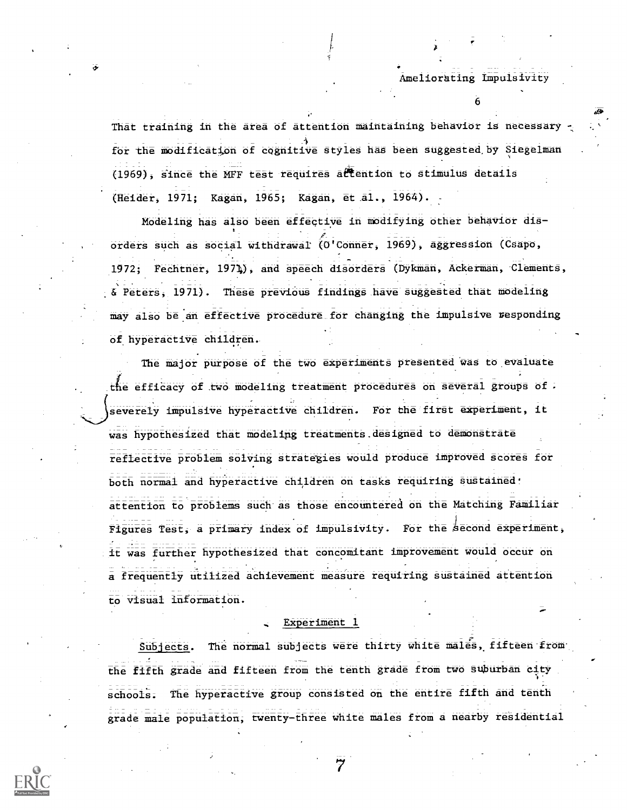6

That training in the area of attention maintaining behavior is necessary for the modification of cognitive styles has been suggested by Siegelman (1969), since the MFF test requires attention to stimulus details \_ (Heider, 1971; Kagan, 1965; Kagan, et al., 1964).

Modeling has also been effective in modifying other behavior disorders such as social withdrawal (O'Conner, 1969), aggression (Csapo, 1972; Fechtner, 1971), and speech disorders (Dykman, Ackerman, Clements, & Peters, 1971). These previous findings have suggested that modeling may also be an effective procedure for changing the impulsive responding of hyperactive children.

The major purpose of the two experiments presented was to evaluate the efficacy of two modeling treatment procedures on several groups of  $\cdot$ severely impulsive hyperactive children. For the first experiment, it was hypothesized that modeling treatments designed to demonstrate reflective problem solving strategies would produce improved scores for both normal and hyperactive children on tasks requiring sustained! attention to problems such as those encountered on the Matching Familiar Figures Test, a primary index of impulsivity. For the second experiment, it was further hypothesized that concomitant improvement would occur on a frequently utilized achievement measure requiring sustained attention to visual infOrmation.

#### Experiment 1

Subjects. The normal subjects were thirty white males, fifteen from the fifth grade and fifteen from the tenth grade from two suburban city schools. The hyperactive group consisted on the entire fifth and tenth grade male population, twenty-three white males from a nearby residential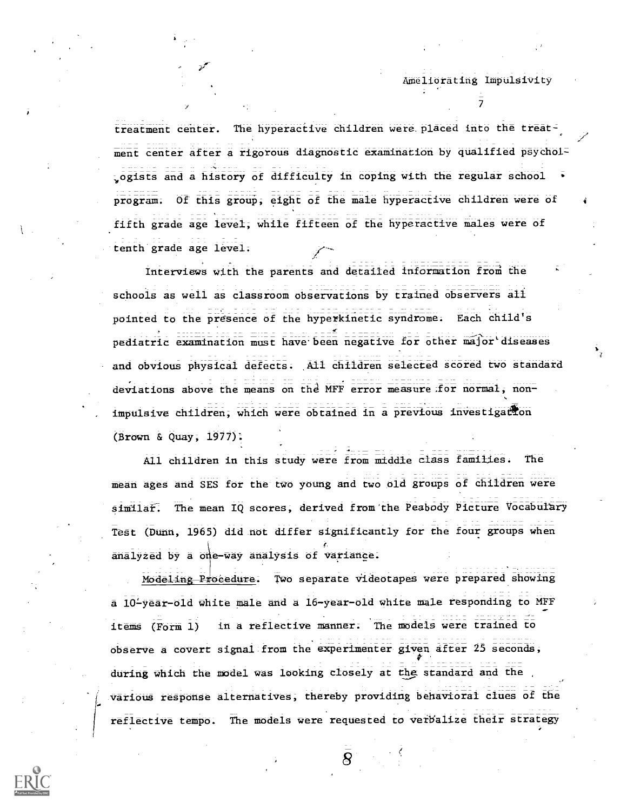$\mathcal{T}$  and  $\mathcal{T}$ 

treatment center. The hyperactive children were, placed into the treat ment center after a rigorous diagnostic examination by qualified psychol-- .0ogists and a history of difficulty in coping with the regular school <sup>+</sup> program. Of this group, eight of the male hyperactive children were of fifth grade age level, while fifteen of the hyperactive males were of tenth grade age level;

Interviews with the parents and detailed information froni the schools as well as classroom observations by trained observers all pointed to the presence of the hyperkinetic syndrome. Each child's pediatric examination must have been negative for other major diseases and obvious physical defects. All children selected scored two standard deviations above the means on the MFF error measure for normal, nonimpulsive children, which were obtained in a previous investigation  $(Brown \& Quay, 1977)$ :

All children in this study were from middle class families. The mean ages and SES for the two young and two old groups of children were similar. The mean IQ scores, derived from the Peabody Picture Vocabulary Teat (Dunn, 1965) did not differ significantly for the four groups when analyzed by a one-way analysis of variance.

Modeling Procedure. Two separate videotapes were prepared showing a 10-year-old white male and a 16-year-old white male responding to MFF items (Form 1) in a reflective manner. The models were trained to observe a covert signal from the experimenter given after 25 seconds, during which the model was looking closely at the standard and the various response alternatives, thereby providing behavioral clues of the reflective tempo. The models were requested to verbalize their strategy

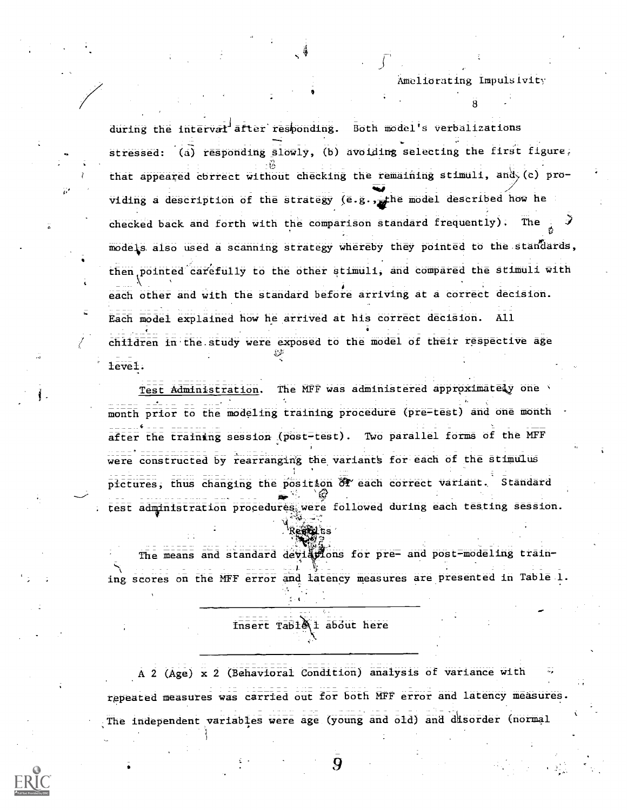during the interval after responding. Both model's verbalizations stressed: (a) responding slowly, (b) avoiding selecting the first figure; that appeared correct without checking the remaining stimuli, and (c) prolow\_ viding a description of the strategy (e.g.,  $_{\text{ref}}$ he model described how he checked back and forth with the comparison standard frequently). The models also used a scanning strategy whereby they pointed to the standards, then pointed carefully to the other stimuli, and compared the stimuli with each other and with the standard before arriving at a correct decision. Each model explained how he arrived at his correct decision. All children in the study were exposed to the model of their respective age level.

Test Administration. The MFF was administered approximately one month prior to the modeling training procedure (pre-test) and one month after the training session (post-test). Two parallel forms of the MFF were constructed by rearranging the variants for each of the stimulus pictures, thus changing the position of each correct variant. Standard test administration procedures were followed during each testing session.

The means and standard deviations for pre- and post-modeling training scores on the MFF error and latency measures are presented in Table 1.

Insert Table 1 about here

Resides

';:

A 2 (Age) x 2 (Behavioral Condition) analysis of variance with repeated measures was carried out for both MFF error and latency measures. The independent variables were age (young and old) and disorder (normal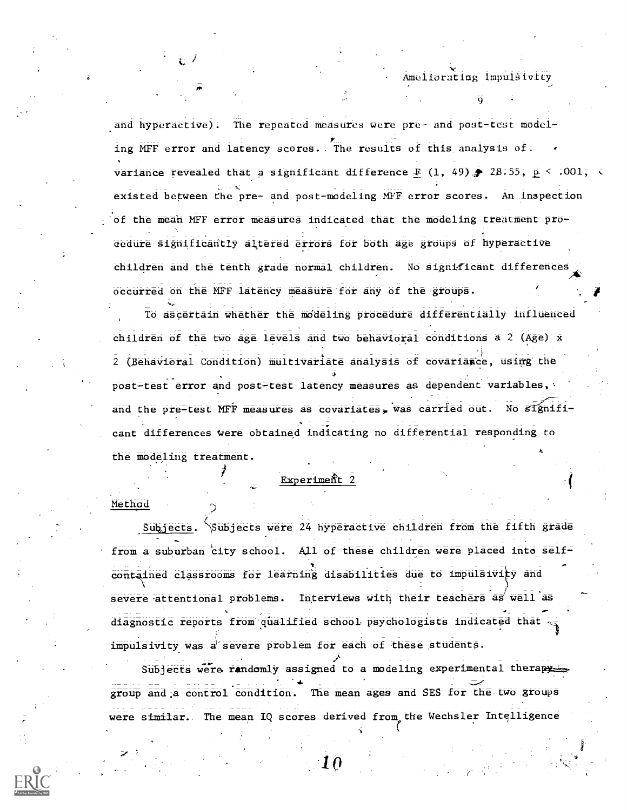$\ddot{q}$ 

and hyperactive). The repeated measures were pre- and post-test modeling MFF error and latency scores. . The results of this, analysis of. variance revealed that a significant difference  $F (1, 49)$  28.55,  $p \le 0.001$ , c existed between the pre- and post-modeling MFF error scores. An inspection of the mean MFF error measures indicated that the modeling treatment pro- , eedure significantly altered errors for both age groups of hyperactive children and the tenth grade normal children. No significant differences occurred on the MFF latency measure for any of the groups.

To ascertain whether the modeling procedure differentially influenced children of the two age levels and two behavioral conditions a 2 (Age) x 2 (Behavioral Condition) multivariate analysis of covariance, using the post-test error and post-test latency measures as dependent vatiables, and the pre-test MFF measures as covariates, was carried out. No significant differences Were obtained indicating no differential responding to the modeling treatment.

### $Experiment 2$

 $\mathcal{L}$  and  $\mathcal{L}$ 

Method

.7

Subjects. Subjects were 24 hyperactive children from the fifth grade from a suburban city school. All of these children were placed into selfcontained classrooms for learning disabilities due to impulsivity and severe attentional problems. Interviews with their teachers as well as diagnostic reports from qualified school psychologists indicated that  $\approx$ impulsivity was a severe problem for each of these students.

subjects were randomly assigned to a modeling experimental therapy group and a control condition. The mean ages and SES for the two groups were similar.. The mean IQ scores derived from the Wechsler Intelligence

-10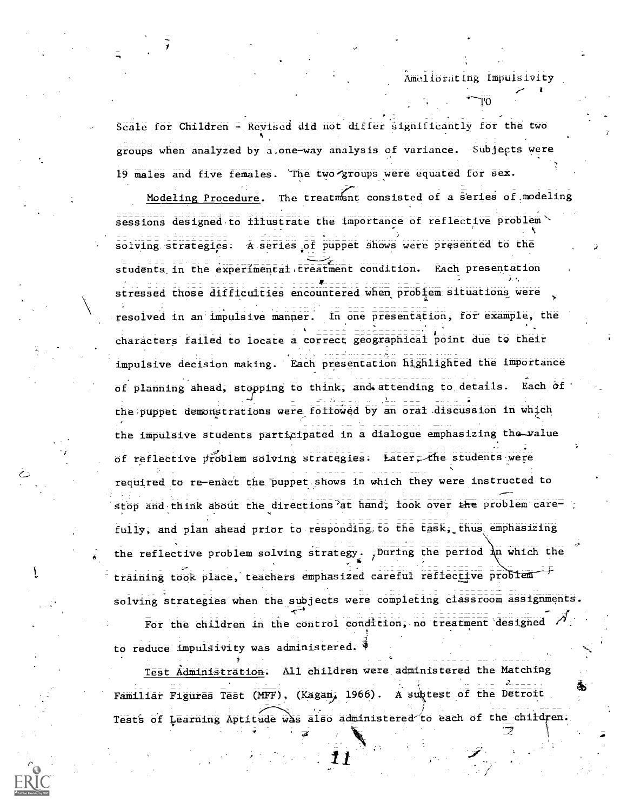Scale for Children - Revised did not differ significantly for the two groups when analyzed by atone-way analysis of variance. Subjects were 19 males and five females. The two groups were equated for sex.

Modeling Procedure. The treatment consisted of a Series of modeling sessions designed to illustrate the importance of reflective problem  $\sim$ solving strategies. A series of puppet shows were presented to the students in the experimental treatment condition. Each presentation stressed those difficulties encountered when problem situations were resolved in an impulsive manner; In one presentation; for example; the characters failed to locate a correct geographical point due to their impulsive decision making. Each presentation highlighted the importance of planning ahead, stopping to think; and attending to.details. Each of the puppet demonstrations were followed by an oral discussion in which the impulsive students participated in a dialogue emphasizing the value  $\mathcal{L}_{\text{max}} = \mathcal{L}_{\text{max}}$ of reflective problem solving strategies. Eater, the students were required to re-enact the puppet shows in which they were instructed to stop and think about the directions at hand, look over the problem care- , when  $\sim$ fully, and plan ahead prior to responding, to the task, thus emphasizing the reflective problem solving strategy. During the period in which the  $\mathbf{x}$  /  $\cdots$ training took place, teachers emphasized careful reflective problem Solving strategies when the subjects were completing classroom assignments. For the children in the control condition, no treatment designedto reduce impulsivity was administered. 4

Test Administration. All children were, administered the Matching Familiar Figures Test (MFF), (Kagan, 1966). A subtest of the Detroit Tests of Learning Aptitude was also administered to each of the child en.  $\overline{z}$  ,  $\overline{z}$  ,  $\overline{z}$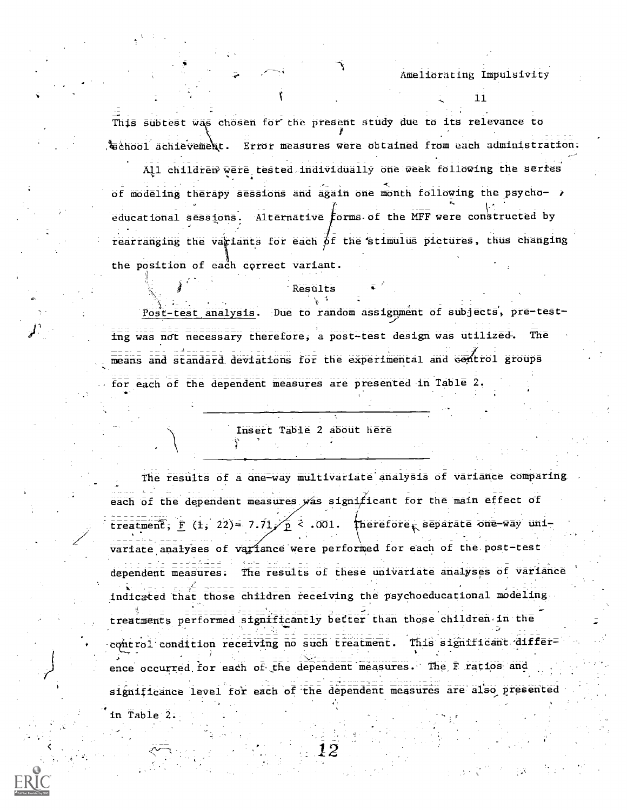11

This subtest was chosen for"the present study due to its relevance to Ia hool achievement Error measures were obtained from each administration;

All children were tested individually one week following the series . of modeling therapy sessions and again one month following the psycho-  $\lambda$ educational sessions. Alternative forms of the MFF were constructed by rearranging the variants for each of the stimulus pictures, thus changing the position of each c9rrect variant.

#### Results

 $\boldsymbol{\beta}$ 

II also

Post-test analysis. Due to random assignment of subjects, pre-testing was not necessary therefore, a post-test design was utilized, The means and standard deviations for the experimental and Gontrol groups for each of the dependent measures are presented in Table 2.

, A

#### Insert Table 2 about here

The results of a one-way multivariate analysis of variance comparing each of the dependent measures was significant for the main effect of treatment, F  $(1, 22) = 7.71 / p < .001$ . Therefore, separate one-way univariate analyses of variance were performed for each of the post-test dependent measures. The results of these uniVariate analyses of variance indicated that those children receiving the psychoeducational modeling المستخدم المقارني treatments performed significantly better than those children,in the .=, trol'condition receiving no such treatment. This significant differ- $\mathbf{v}$ ence occurred, for each of the dependent measures. The F ratios and significance level for each of the dependent measures are also presentedin Table 2.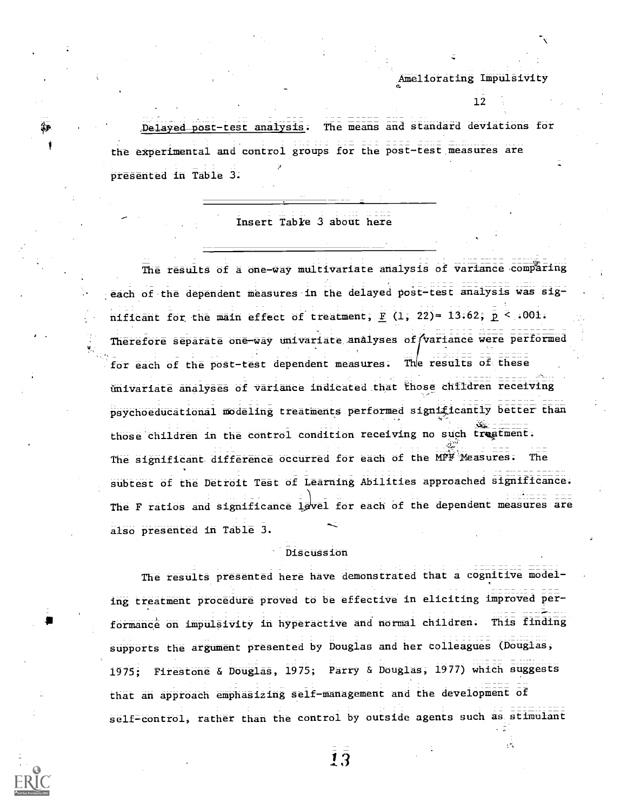12

Delayed post-test analysis. The means and standard deviations for the experimental and control groups for the post-test measures are presented in Table 3.

#### Insert Table 3 about here

О

The results of a one-way multivariate analysis of variance comparing each of the dependent measures in the delayed post-test analysis was significant for the main effect of treatment,  $F$  (1, 22)= 13.62;  $\bar{p}$  < .001. Therefore separate one-way univariate analyses of variance were performed for each of the post-test dependent measures. The results of these Univariate analyses of variance inditated,that those children receiving psychoeducational modeling treatments performed significantly better than those children in the control condition receiving no such treatment. The significant difference occurred for each of the MPF Measures. The subtest of the Detroit Test of Learning Abilities approached significance. The F ratios and significance 1gvel for each of the dependent measures are also presented in Table 3.

#### **Discussion**

The results presented here have demonstrated that a cognitive modeling treatment procedure proved to be effective in eliciting improved performance on impulsivity in hyperactive and normal children. This finding supports the argument presented by Douglas and her colleagues (Douglas; 1975; Firestone & Douglas, 1975; Parry & Douglas 1977) which suggests that an approach emphasizing self-management and the development of self-control; rather than the control by outside agents such as stimulant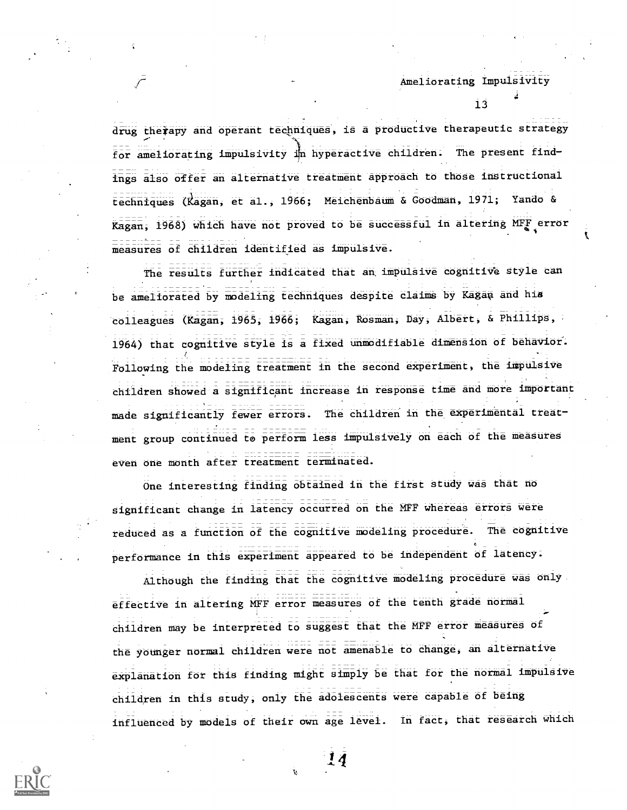drug therapy and operant techniques, is a productive therapeutic strategy for ameliorating impulsivity hyperactive children. The present findings also offer an alternative treatment approach to those instructional techniques (Ragan, et al., 1966; Meichenbaum & Goodman, 1971; Yando & Kagan; 1968) which have not proved to be successful in altering MFF error measures of children identified as impulsive.

The results further indicated that an impulsive cognitive style can be ameliorated by modeling techniques despite claims by Kagan and his colleagues (Kagan; 1965; 1966; Kagan; Rosman; Day; Albert, & Phillips, 1964) that cognitive style is a fixed unmodifiable dimension of behavior. Following the modeling treatment in the second experiment, the impulsive children showed a significant increase in response time and more important made significantly fewer errors. The children in the experimental treatment group continued to perform less impulsively on each of the measures even one month after treatment terminated.

One interesting finding obtained in the first study was that no significant change in latency occurred on the MFF whereas errors were reduced as a function of the cognitive modeling procedure. The cognitive performance in this experiment appeared to be independent of latency;

Although the finding that the cognitive modeling procedure was only effective in altering MFF error measures of the tenth grade normal Children may be interpreted to suggest that the MFF error measures of the younger normal children were not amenable to change, an alternative explanation for this finding might simply be that for the normal impulsive Children in this study; only the adolescents were capable of being influenced by models of their own age level. In fact; that research which

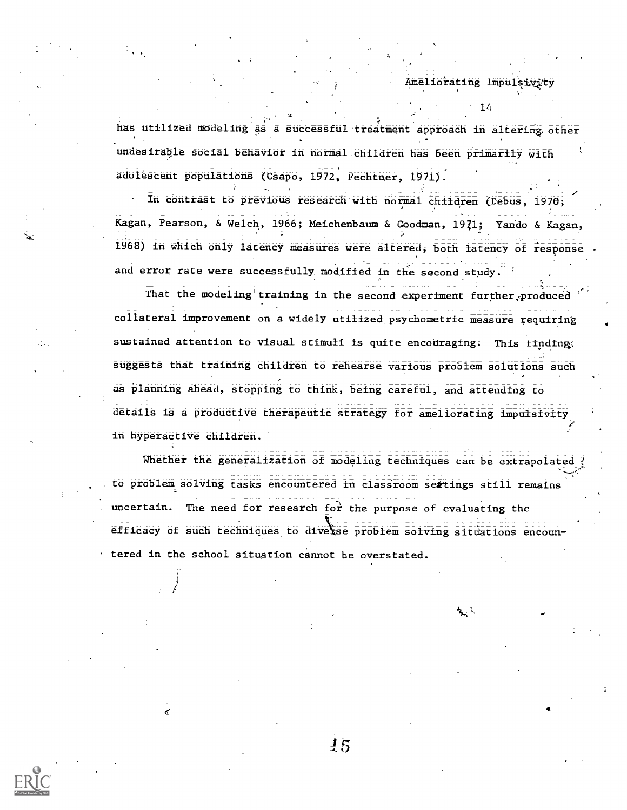14

has utilized modeling as a successful treatment approach in altering other undesirable social behavior in normal children has been primarily with adolescent populations (Csapo, 1972, Fechtner, 1971).

In contrast to previous research with normal children (Debus, 1970; Kagan, Pearson, & Welch, 1966; Meichenbaum & Goodman, 1971; Yando & Kagan, 1968) in which only latency measures were altered, both latency of response and error rate were successfully modified in the second study;

That the modeling training in the second experiment further produced collateral improvement on a widely utilized psychometric measure requiring sustained attention to visual stimuli is quite encouraging. This finding; suggests that training children to rehearse various problem solutions such as planning ahead, stopping to think, being careful, and attending to details is a productive therapeutic strategy for ameliorating impulsivity in hyperactive children.

Whether the generalization of modeling techniques can be extrapolated \\ to problem solving tasks encountered in classroom sextings still remains uncertain. The need for research for the purpose of evaluating the efficacy of such techniques to diverse problem solving situations encountered in the school situation cannot be overstated.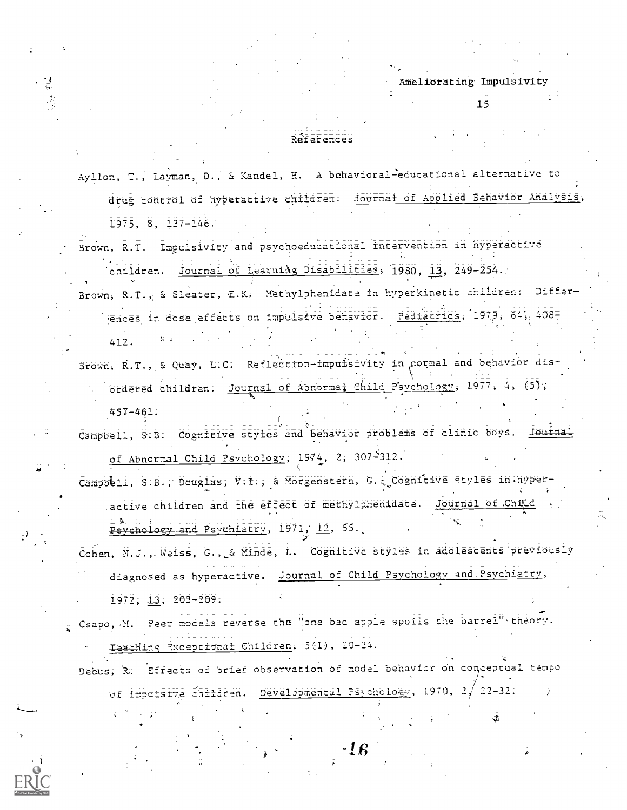İ5

#### References

Ayllon, T., Layman, D., & Kandel, H. a behavioral-educational alternative to drug control of hyperactive children. Journal of Applied Sehavior Analysis  $1975, 8, 137 - 146.$ 

Brown, R.T. Impulsivity and psychoeducational intervention in hyperactive children. Journal of Learning Disabilities, 1980, 13, 249-254.

 $412.$   $\frac{1}{2}$ 

Brown, R.T., & Sleater, E.K. Methylphenidate in hyperkinetic children: Differences in dose effects on impulsive behavior. Pediatrics, 1979, 64, 408-

Brown, R.T., & Quay, L.C. Reflection-impulsivity in pormal and behavior disordered children. Journal of Abnormal Child Psychology, 1977, 4, (5);  $457 - 461.$ 

Campbell, S.B. Cognitive styles and behavior problems of clinic boys. Journal of Abnormal Child Psychology, 1974, 2, 307-312.

Campbell, S.B., Douglas, V.I., & Morgenstern, G. Cognitive etyles in hyperactive children and the effect of methylphenidate. Journal of Child Psychology and Psychiatry, 1971, 12, 55.

Cohen, N.J., Weiss, G., & Minde, L. Cognitive styles in adolescents previously diagnosed as hyperactive. Journal of Child Psychology and Psychiatry, 1972, 13, 203-209.

g Csapo, M. Peer models reverse the "one bad apple spoils the barrel" theory. Taaching ixcaptional Children, 5(1), 20-24.

Debus, R. Effects of brief observation of model behavior on conceptual tempo of imputsive dhiidren. Developmental Psychology, 1970, 2/ 22-32.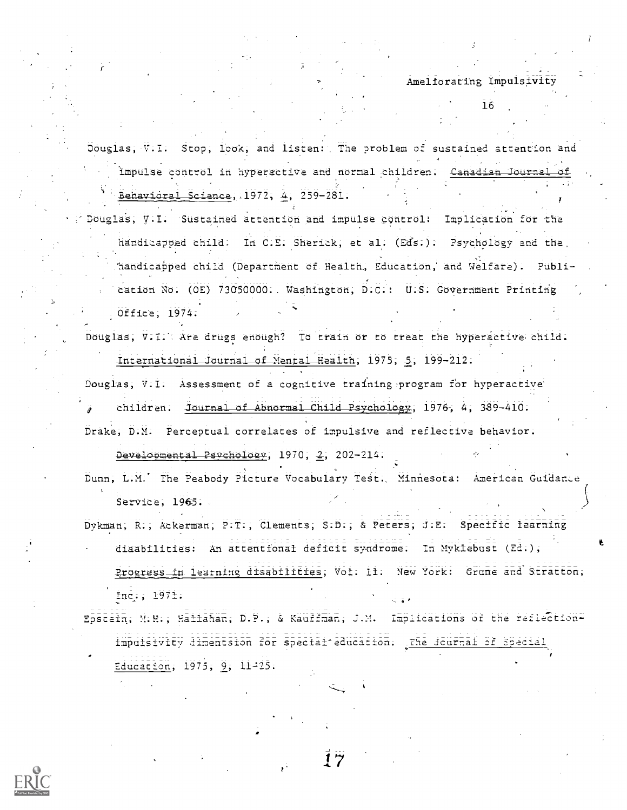16

Douglas, V.I. Stop, look, and listen: The problem of sustained attention and impulse control in hyperactive and normal children. Canadian Journal of Behavioral Science, 1972, 4, 259-281.

Douglas, V.I. Sustained attention and impulse control: Implication for the handicapped child. In C.E. Sherick, et al. (Eds.). Psychology and the handicabped child (Department of Health, Education, and Welfare). Publication No. (OE) 73050000. Washington, D.C.: U.S. Government Printing Office, 1974.

Douglas, V.I. Are drugs enough? To train or to treat the hyperactive child. International Journal of Mental Health, 1975, 5, 199-212.

Douglas, V.I. Assessment of a cognitive training program for hyperactive children. Journal of Abnormal Child Psychology, 1976, 4, 389-410. Drake, D.M. Perceptual correlates of impulsive and reflective behavior.

Developmental Psychology, 1970, 2, 202-214.

Dunn, L.M. The Peabody Picture Vocabulary Test. Minnesota: American Guidance Service, 1965.

Dykman, R., Ackerman, P.T., Clements, S.D., & Peters, J.E. Specific learning diaabilities: An attentional deficit syndrome. In Mykiebust (Ed.), Progress in learning disabilities, Vol. 11. New York: Grune and Stratton, Inc., 1971.

Epstein; M.H.; Hailahan; D.P.; & Kauffman; J.M. Implications of the reflectionimpuisivity dimentsion for special aducation. The Journal of Special Education, 1975, 9, 11-25.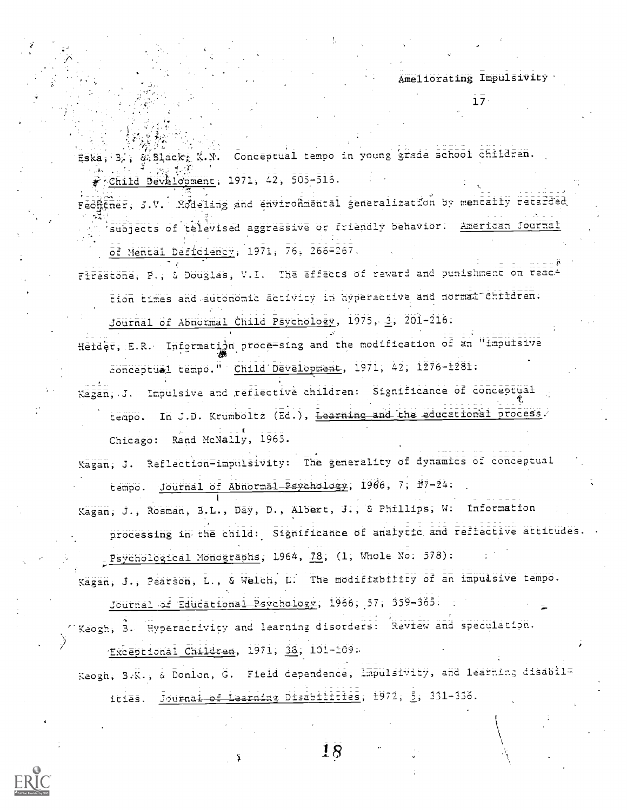#### $17.$

Eska, B., d. Black; X.N. Conceptual tempo in young grade school children. F Child Development, 1971, 42, 505-516.

Fechtner, J.V. Modeling and environmental generalization by mentatly retarded subjects of talevised aggressive or friendly behavior. American Journal of Mental Deficiency, 1971, 76, 266-267.

Firestone, P., & Douglas, V.I. The effects of reward and punishment on reac-

Eion times and autonomic activity in hyperactive and normal children. Journal of Abnormal Child Psychology, 1975, 3, 201-216.

Heider, E.R. Information proce-sing and the modification of an "imputsive conceptual tempo." Child Development, 1971, 42, 1276-1281.

Kagan, J. Impulsive and reflective children: Significance of conceptual tempo. In J.D. Krumboltz (Ed.), Learning and the educational process. Chicago: Rand McNally, 1965.

Kagan, J. Reflection-impulsivity: The generality of dynamics of conceptual tempo. Journal of Abnormal Psychology, 1966, 7, 17-24.

Kagan, J., Rosman, B.L., Day, D., Albert, J., & Phillips, W. Information processing in the child: Significance of analytic and reflective attitudes.

Psychological Monographs, 1964, 28, (1, Whole No. 578).

Kagan, J., Pearson, L., & Welch, L. The modifiability of an impulsive tempo.

Journal of Educational Psychology, 1966, 57, 359-365.

Keogh, 3. Hyperactivity and learning disorders: Review and speculation.

Exceptional Children, 1971, 38, 101-109.

Reogh, 3.K., & Donlon, G. Field dependence, Empulsivity, and learning disabliities. Journal of Learning Disabilities, 1972, 5, 331-336.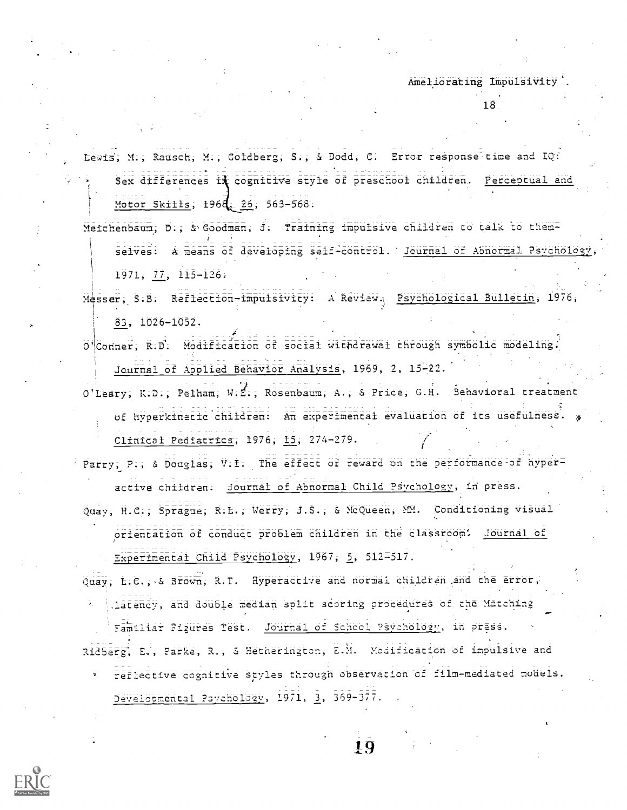M:; Rausch; M:; Goidberg; S.; & Dodd; C. Error response time and IQ: Sex differences in cognitive style of preschool children. Perceptual and Motor Skills, 1968, 26, 563-568.

Meichenbaum, D., & Goodman, J. Training impulsive children to talk to them-

selves: A means of developing self-control. Journal of Abnormal Psychology; 1971; 77; 115-126:

Messer; S.B. Reflection-impulsivity: A Review, Psychological Bulletin; 1976; <sup>1</sup> 83; 1026-1052;

O'Conner, R.D. Modification of social withdrawal through symbolic modeling. Journal of Apolied Behavior Analysis; 1969; 2, 15-22.

O'Leary; K;D;; Pelham; W:E:; Rosenbaum; A.; & Price; G.H. Behavioral treatment of hyperkinetic children: An experimental evaluation of its usefulness.

Clinical Pediatrics.; 1976; 15, 274-279.

Parry; P.;  $\alpha$  Douglas; V.i. The effect of reward on the performance-of hyper= active children; Journal of Abnormal Child Psychology, in press.

Quay; H.C.; Sprague; R.L.; Werry; J.S.; & McQueen; MM. Conditioning visual

orientation of conduct problem children in the classroom', Journal of

Experimental Child Psychology; 1967; 5, 512-517.

Ouav; L;C.; & Brown; R.T. Hyperactive and normal children and the error, lacency; and double median split scoring procedures of the Macchin

Familiar Figures Test. Journal of School Psychology, in press.

Ridberg'; E.; Parke; R.; & Hetherington; E.M. Modification of impulsive and reflective cognitive styles through observation of film-mediated models.

19

 $\tilde{\phantom{a}}$ 

Developmental Psychology, 1971, 3, 369-377.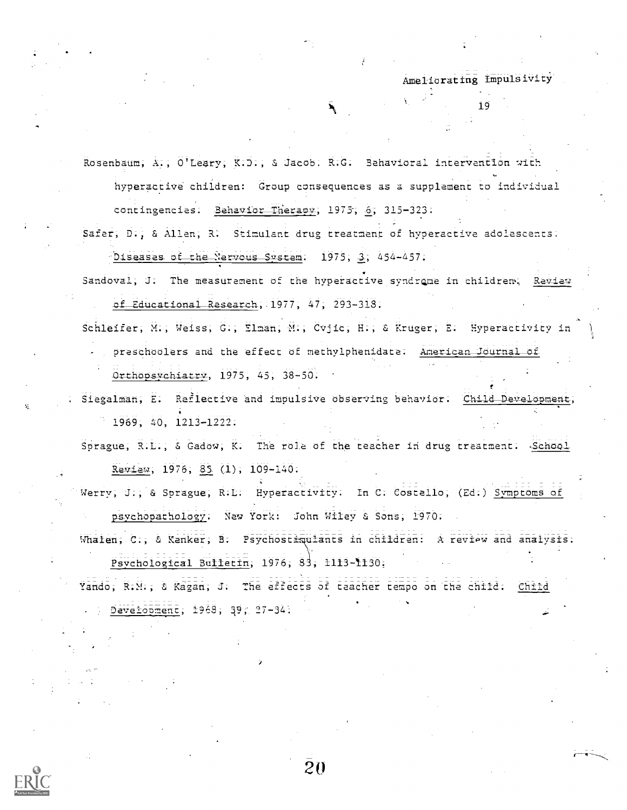19

Rosenbaum; A.; O'Leary; K.D.; & Jacob; R.G. Behavioral intervention with hyperactive children: Group consequences as a supplement t\_o individual contingencies. Behavior Therapy; 1975; 4; 315-323;

Safer; D:; & Allen; R: Stimulant drug treatment of hyperactive adolescents: Diseases of the Nervous System: 1975, 3, 454-457.

Sandoval; J: The measurement of the hyperactive syndrome in children. Review of Educational Research, 1977, 47, 293-318.

Schleifer; M.; Weiss; G.; Elman; M.; Cvjic; H.; & Kruger; E. Hyperactivity in

preschoolers and the effect of methylphenidate. American Journal of Orthopsychiatry, 1975, 45, 38-50.  $\mathbf{f}(\mathbf{r},\mathbf{r})$ 

Siegalman, E. Reflective and impulsive observing behavior. Child Development,  $1969, 40, 1213 - 1222.$ 

Sprague, R.L., & Gadow, K. The role of the teacher in drug treatment. School Review, 1976, 85  $(1)$ , 109-140.

Werry, J., & Sprague, R.L. Hyperactivity. In C. Costello, (Ed.) Symptoms of psycnopathology; New York: John Wiley & Sons, 1970;

Whalen; C., & Kenker; B. Psychost in thildren: A review and analysis. Psychological Bulletin; 1976; 83; 1113-1130.

Yando; R:M:; & Kagan; J. The effects of teacher tempo on the child. Child Development, 1968, 39, 27-34.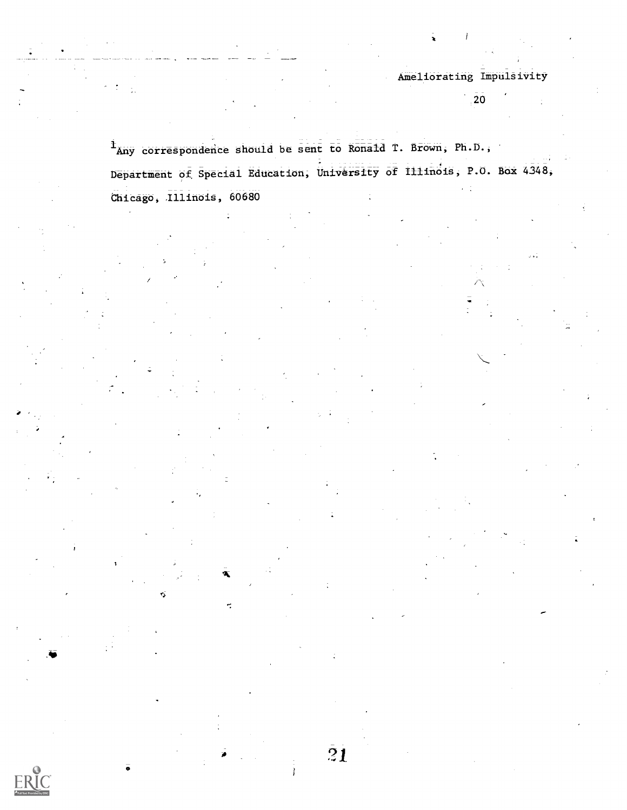$\frac{1}{20}$ 

Any correspondence should be sent to Ronald T. Brown, Ph.D., Department of Special Education, University of Illinois, P.O. Box 4348, Chicago, Illinois, 60680

 $\overline{21}$ 

ł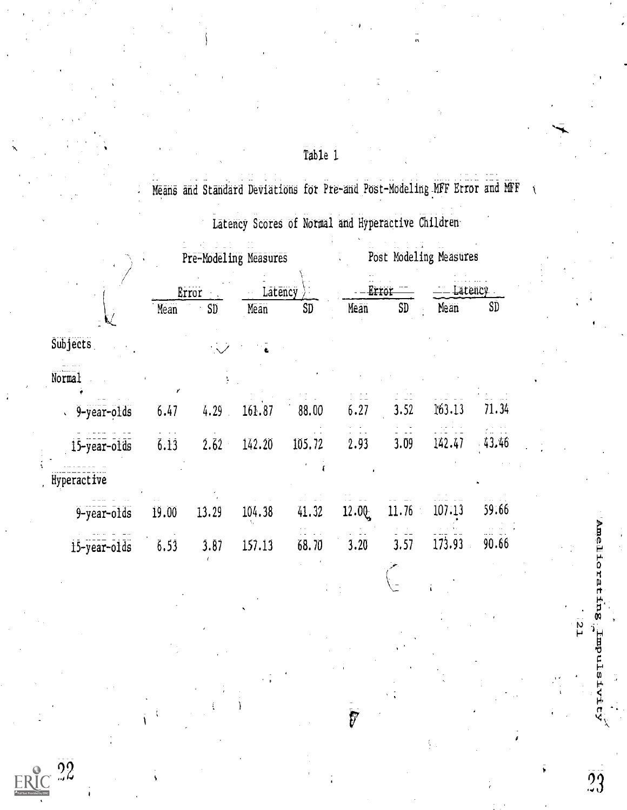|                   |       | Pre-Modeling Measures |        |         |       | Post Modeling Measures |        |           |  |  |  |  |
|-------------------|-------|-----------------------|--------|---------|-------|------------------------|--------|-----------|--|--|--|--|
|                   |       | Error                 |        | Latency |       | Error                  |        | Latency   |  |  |  |  |
|                   | Mean  | SD                    | Mean   | SD      | Mean  | SD                     | Mean   | <b>SD</b> |  |  |  |  |
| Subjects          |       |                       |        |         |       |                        |        |           |  |  |  |  |
| Normal            |       |                       |        |         |       |                        |        |           |  |  |  |  |
| 9-year-olds<br>k. | 6.47  | 4.29                  | 161.87 | 88.00   | 6.27  | 3.52                   | 163.13 | 71.34     |  |  |  |  |
| 15-year-olds      | 6.13  | $2.62 -$              | 142.20 | 105.72  | 2.93  | 3.09                   | 142.47 | 43.46     |  |  |  |  |
| Hyperactive       |       |                       |        |         |       |                        |        |           |  |  |  |  |
| 9-year-olds       | 19.00 | 13.29                 | 104.38 | 41.32   | 12.00 | 11.76                  | 107.13 | 59.66     |  |  |  |  |
| $15$ -year-olds   | 6.53  | 3.87                  | 157.13 | 68.70   | 3.20  | 3.57                   | 173.93 | 90.66     |  |  |  |  |

Table 1

Means and Standard Deviations for Pre-and Post-Modeling MFF Error and MFF  $\rightarrow$ 

ERIC 22

T

 $23$ 

rt . <u>. d.</u>

 $\overline{\mathbf{r}}$